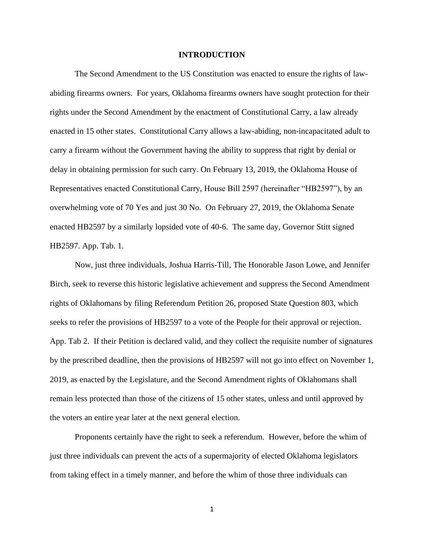#### **INTRODUCTION**

The Second Amendment to the US Constitution was enacted to ensure the rights of lawabiding firearms owners. For years, Oklahoma firearms owners have sought protection for their rights under the Second Amendment by the enactment of Constitutional Carry, a law already enacted in 15 other states. Constitutional Carry allows a law-abiding, non-incapacitated adult to carry a firearm without the Government having the ability to suppress that right by denial or delay in obtaining permission for such carry. On February 13, 2019, the Oklahoma House of Representatives enacted Constitutional Carry, House Bill 2597 (hereinafter "HB2597"), by an overwhelming vote of 70 Yes and just 30 No. On February 27, 2019, the Oklahoma Senate enacted HB2597 by a similarly lopsided vote of 40-6. The same day, Governor Stitt signed HB2597. App. Tab. 1.

Now, just three individuals, Joshua Harris-Till, The Honorable Jason Lowe, and Jennifer Birch, seek to reverse this historic legislative achievement and suppress the Second Amendment rights of Oklahomans by filing Referendum Petition 26, proposed State Question 803, which seeks to refer the provisions of HB2597 to a vote of the People for their approval or rejection. App. Tab 2. If their Petition is declared valid, and they collect the requisite number of signatures by the prescribed deadline, then the provisions of HB2597 will not go into effect on November 1, 2019, as enacted by the Legislature, and the Second Amendment rights of Oklahomans shall remain less protected than those of the citizens of 15 other states, unless and until approved by the voters an entire year later at the next general election.

Proponents certainly have the right to seek a referendum. However, before the whim of just three individuals can prevent the acts of a supermajority of elected Oklahoma legislators from taking effect in a timely manner, and before the whim of those three individuals can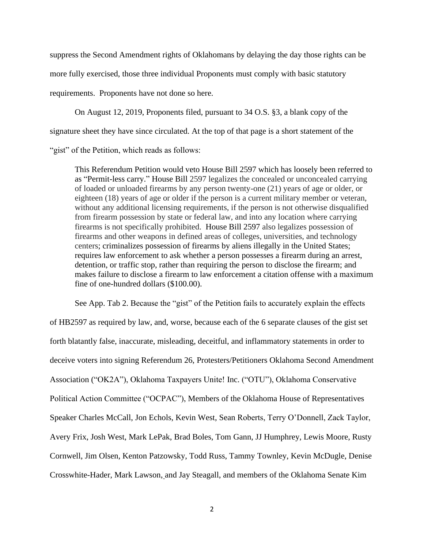suppress the Second Amendment rights of Oklahomans by delaying the day those rights can be more fully exercised, those three individual Proponents must comply with basic statutory requirements. Proponents have not done so here.

On August 12, 2019, Proponents filed, pursuant to 34 O.S. §3, a blank copy of the signature sheet they have since circulated. At the top of that page is a short statement of the "gist" of the Petition, which reads as follows:

This Referendum Petition would veto House Bill 2597 which has loosely been referred to as "Permit-less carry." House Bill 2597 legalizes the concealed or unconcealed carrying of loaded or unloaded firearms by any person twenty-one (21) years of age or older, or eighteen (18) years of age or older if the person is a current military member or veteran, without any additional licensing requirements, if the person is not otherwise disqualified from firearm possession by state or federal law, and into any location where carrying firearms is not specifically prohibited. House Bill 2597 also legalizes possession of firearms and other weapons in defined areas of colleges, universities, and technology centers; criminalizes possession of firearms by aliens illegally in the United States; requires law enforcement to ask whether a person possesses a firearm during an arrest, detention, or traffic stop, rather than requiring the person to disclose the firearm; and makes failure to disclose a firearm to law enforcement a citation offense with a maximum fine of one-hundred dollars (\$100.00).

See App. Tab 2. Because the "gist" of the Petition fails to accurately explain the effects of HB2597 as required by law, and, worse, because each of the 6 separate clauses of the gist set forth blatantly false, inaccurate, misleading, deceitful, and inflammatory statements in order to deceive voters into signing Referendum 26, Protesters/Petitioners Oklahoma Second Amendment Association ("OK2A"), Oklahoma Taxpayers Unite! Inc. ("OTU"), Oklahoma Conservative Political Action Committee ("OCPAC"), Members of the Oklahoma House of Representatives Speaker Charles McCall, Jon Echols, Kevin West, Sean Roberts, Terry O'Donnell, Zack Taylor, Avery Frix, Josh West, Mark LePak, Brad Boles, Tom Gann, JJ Humphrey, Lewis Moore, Rusty Cornwell, Jim Olsen, Kenton Patzowsky, Todd Russ, Tammy Townley, Kevin McDugle, Denise Crosswhite-Hader, Mark Lawson, and Jay Steagall, and members of the Oklahoma Senate Kim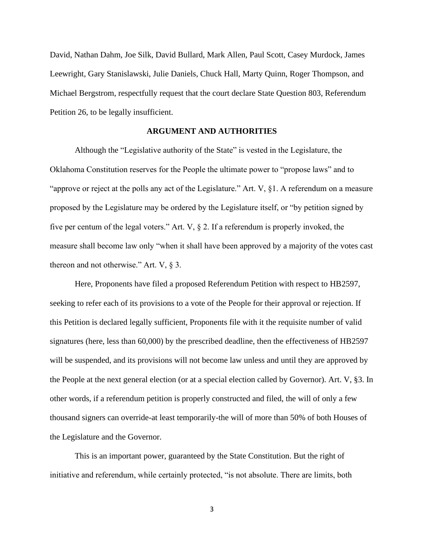David, Nathan Dahm, Joe Silk, David Bullard, Mark Allen, Paul Scott, Casey Murdock, James Leewright, Gary Stanislawski, Julie Daniels, Chuck Hall, Marty Quinn, Roger Thompson, and Michael Bergstrom, respectfully request that the court declare State Question 803, Referendum Petition 26, to be legally insufficient.

### **ARGUMENT AND AUTHORITIES**

Although the "Legislative authority of the State" is vested in the Legislature, the Oklahoma Constitution reserves for the People the ultimate power to "propose laws" and to "approve or reject at the polls any act of the Legislature." Art. V, §1. A referendum on a measure proposed by the Legislature may be ordered by the Legislature itself, or "by petition signed by five per centum of the legal voters." Art. V, § 2. If a referendum is properly invoked, the measure shall become law only "when it shall have been approved by a majority of the votes cast thereon and not otherwise." Art. V, § 3.

Here, Proponents have filed a proposed Referendum Petition with respect to HB2597, seeking to refer each of its provisions to a vote of the People for their approval or rejection. If this Petition is declared legally sufficient, Proponents file with it the requisite number of valid signatures (here, less than 60,000) by the prescribed deadline, then the effectiveness of HB2597 will be suspended, and its provisions will not become law unless and until they are approved by the People at the next general election (or at a special election called by Governor). Art. V, §3. In other words, if a referendum petition is properly constructed and filed, the will of only a few thousand signers can override-at least temporarily-the will of more than 50% of both Houses of the Legislature and the Governor.

This is an important power, guaranteed by the State Constitution. But the right of initiative and referendum, while certainly protected, "is not absolute. There are limits, both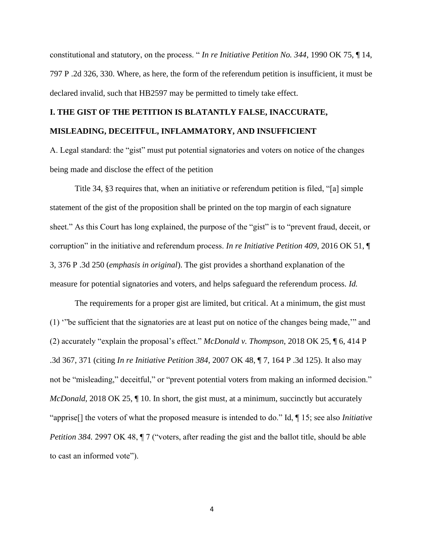constitutional and statutory, on the process. " *In re Initiative Petition No. 344*, 1990 OK 75, ¶ 14, 797 P .2d 326, 330. Where, as here, the form of the referendum petition is insufficient, it must be declared invalid, such that HB2597 may be permitted to timely take effect.

# **I. THE GIST OF THE PETITION IS BLATANTLY FALSE, INACCURATE, MISLEADING, DECEITFUL, INFLAMMATORY, AND INSUFFICIENT**

A. Legal standard: the "gist" must put potential signatories and voters on notice of the changes being made and disclose the effect of the petition

Title 34, §3 requires that, when an initiative or referendum petition is filed, "[a] simple statement of the gist of the proposition shall be printed on the top margin of each signature sheet." As this Court has long explained, the purpose of the "gist" is to "prevent fraud, deceit, or corruption" in the initiative and referendum process. *In re Initiative Petition 409*, 2016 OK 51, ¶ 3, 376 P .3d 250 (*emphasis in original*). The gist provides a shorthand explanation of the measure for potential signatories and voters, and helps safeguard the referendum process. *Id.*

The requirements for a proper gist are limited, but critical. At a minimum, the gist must (1) '"be sufficient that the signatories are at least put on notice of the changes being made,'" and (2) accurately "explain the proposal's effect." *McDonald v. Thompson*, 2018 OK 25, ¶ 6, 414 P .3d 367, 371 (citing *In re Initiative Petition 384*, 2007 OK 48, ¶ 7, 164 P .3d 125). It also may not be "misleading," deceitful," or "prevent potential voters from making an informed decision." *McDonald*, 2018 OK 25, 110. In short, the gist must, at a minimum, succinctly but accurately "apprise[] the voters of what the proposed measure is intended to do." Id, ¶ 15; see also *Initiative Petition 384.* 2997 OK 48,  $\parallel$  7 ("voters, after reading the gist and the ballot title, should be able to cast an informed vote").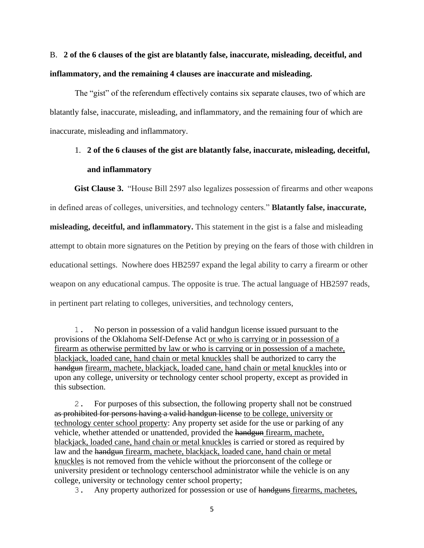# B. **2 of the 6 clauses of the gist are blatantly false, inaccurate, misleading, deceitful, and inflammatory, and the remaining 4 clauses are inaccurate and misleading.**

The "gist" of the referendum effectively contains six separate clauses, two of which are blatantly false, inaccurate, misleading, and inflammatory, and the remaining four of which are inaccurate, misleading and inflammatory.

## 1. **2 of the 6 clauses of the gist are blatantly false, inaccurate, misleading, deceitful, and inflammatory**

**Gist Clause 3.** "House Bill 2597 also legalizes possession of firearms and other weapons in defined areas of colleges, universities, and technology centers." **Blatantly false, inaccurate, misleading, deceitful, and inflammatory.** This statement in the gist is a false and misleading attempt to obtain more signatures on the Petition by preying on the fears of those with children in educational settings. Nowhere does HB2597 expand the legal ability to carry a firearm or other weapon on any educational campus. The opposite is true. The actual language of HB2597 reads, in pertinent part relating to colleges, universities, and technology centers,

1. No person in possession of a valid handgun license issued pursuant to the provisions of the Oklahoma Self-Defense Act or who is carrying or in possession of a firearm as otherwise permitted by law or who is carrying or in possession of a machete, blackjack, loaded cane, hand chain or metal knuckles shall be authorized to carry the handgun firearm, machete, blackjack, loaded cane, hand chain or metal knuckles into or upon any college, university or technology center school property, except as provided in this subsection.

2. For purposes of this subsection, the following property shall not be construed as prohibited for persons having a valid handgun license to be college, university or technology center school property: Any property set aside for the use or parking of any vehicle, whether attended or unattended, provided the handgun firearm, machete, blackjack, loaded cane, hand chain or metal knuckles is carried or stored as required by law and the handgun firearm, machete, blackjack, loaded cane, hand chain or metal knuckles is not removed from the vehicle without the priorconsent of the college or university president or technology centerschool administrator while the vehicle is on any college, university or technology center school property;

3. Any property authorized for possession or use of handguns firearms, machetes,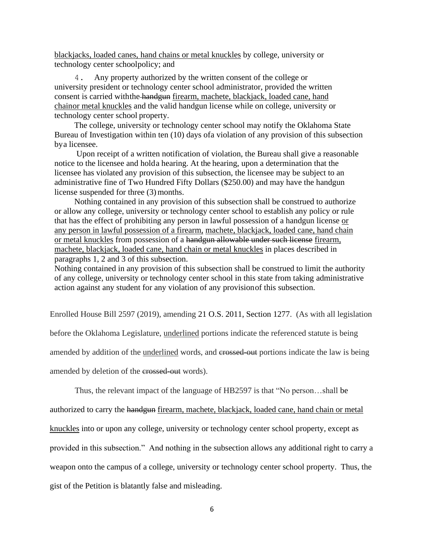blackjacks, loaded canes, hand chains or metal knuckles by college, university or technology center schoolpolicy; and

4. Any property authorized by the written consent of the college or university president or technology center school administrator, provided the written consent is carried withthe handgun firearm, machete, blackjack, loaded cane, hand chainor metal knuckles and the valid handgun license while on college, university or technology center school property.

The college, university or technology center school may notify the Oklahoma State Bureau of Investigation within ten (10) days ofa violation of any provision of this subsection bya licensee.

Upon receipt of a written notification of violation, the Bureau shall give a reasonable notice to the licensee and holda hearing. At the hearing, upon a determination that the licensee has violated any provision of this subsection, the licensee may be subject to an administrative fine of Two Hundred Fifty Dollars (\$250.00) and may have the handgun license suspended for three (3) months.

Nothing contained in any provision of this subsection shall be construed to authorize or allow any college, university or technology center school to establish any policy or rule that has the effect of prohibiting any person in lawful possession of a handgun license or any person in lawful possession of a firearm, machete, blackjack, loaded cane, hand chain or metal knuckles from possession of a handgun allowable under such license firearm, machete, blackjack, loaded cane, hand chain or metal knuckles in places described in paragraphs 1, 2 and 3 of this subsection.

Nothing contained in any provision of this subsection shall be construed to limit the authority of any college, university or technology center school in this state from taking administrative action against any student for any violation of any provision of this subsection.

Enrolled House Bill 2597 (2019), amending 21 O.S. 2011, Section 1277. (As with all legislation

before the Oklahoma Legislature, underlined portions indicate the referenced statute is being

amended by addition of the underlined words, and crossed out portions indicate the law is being

amended by deletion of the crossed-out words).

Thus, the relevant impact of the language of HB2597 is that "No person…shall be

authorized to carry the handgun firearm, machete, blackjack, loaded cane, hand chain or metal

knuckles into or upon any college, university or technology center school property, except as

provided in this subsection." And nothing in the subsection allows any additional right to carry a

weapon onto the campus of a college, university or technology center school property. Thus, the

gist of the Petition is blatantly false and misleading.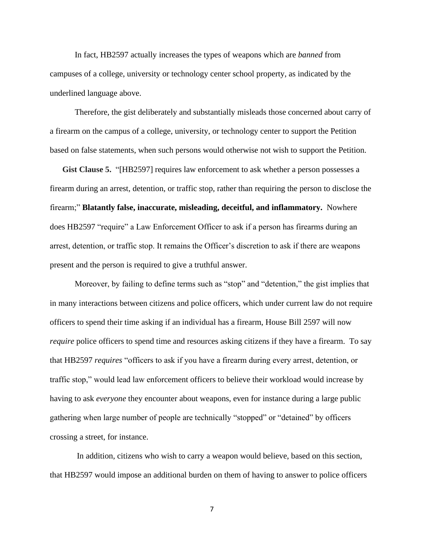In fact, HB2597 actually increases the types of weapons which are *banned* from campuses of a college, university or technology center school property, as indicated by the underlined language above.

Therefore, the gist deliberately and substantially misleads those concerned about carry of a firearm on the campus of a college, university, or technology center to support the Petition based on false statements, when such persons would otherwise not wish to support the Petition.

**Gist Clause 5.** "[HB2597] requires law enforcement to ask whether a person possesses a firearm during an arrest, detention, or traffic stop, rather than requiring the person to disclose the firearm;" **Blatantly false, inaccurate, misleading, deceitful, and inflammatory.** Nowhere does HB2597 "require" a Law Enforcement Officer to ask if a person has firearms during an arrest, detention, or traffic stop. It remains the Officer's discretion to ask if there are weapons present and the person is required to give a truthful answer.

Moreover, by failing to define terms such as "stop" and "detention," the gist implies that in many interactions between citizens and police officers, which under current law do not require officers to spend their time asking if an individual has a firearm, House Bill 2597 will now *require* police officers to spend time and resources asking citizens if they have a firearm. To say that HB2597 *requires* "officers to ask if you have a firearm during every arrest, detention, or traffic stop," would lead law enforcement officers to believe their workload would increase by having to ask *everyone* they encounter about weapons, even for instance during a large public gathering when large number of people are technically "stopped" or "detained" by officers crossing a street, for instance.

In addition, citizens who wish to carry a weapon would believe, based on this section, that HB2597 would impose an additional burden on them of having to answer to police officers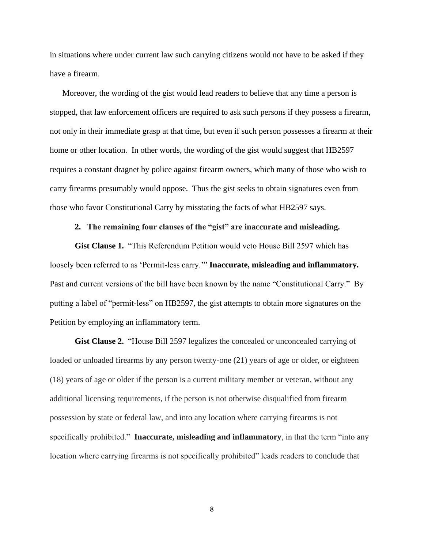in situations where under current law such carrying citizens would not have to be asked if they have a firearm.

Moreover, the wording of the gist would lead readers to believe that any time a person is stopped, that law enforcement officers are required to ask such persons if they possess a firearm, not only in their immediate grasp at that time, but even if such person possesses a firearm at their home or other location. In other words, the wording of the gist would suggest that HB2597 requires a constant dragnet by police against firearm owners, which many of those who wish to carry firearms presumably would oppose. Thus the gist seeks to obtain signatures even from those who favor Constitutional Carry by misstating the facts of what HB2597 says.

### **2. The remaining four clauses of the "gist" are inaccurate and misleading.**

**Gist Clause 1.** "This Referendum Petition would veto House Bill 2597 which has loosely been referred to as 'Permit-less carry.'" **Inaccurate, misleading and inflammatory.** Past and current versions of the bill have been known by the name "Constitutional Carry." By putting a label of "permit-less" on HB2597, the gist attempts to obtain more signatures on the Petition by employing an inflammatory term.

**Gist Clause 2.** "House Bill 2597 legalizes the concealed or unconcealed carrying of loaded or unloaded firearms by any person twenty-one  $(21)$  years of age or older, or eighteen (18) years of age or older if the person is a current military member or veteran, without any additional licensing requirements, if the person is not otherwise disqualified from firearm possession by state or federal law, and into any location where carrying firearms is not specifically prohibited." **Inaccurate, misleading and inflammatory**, in that the term "into any location where carrying firearms is not specifically prohibited" leads readers to conclude that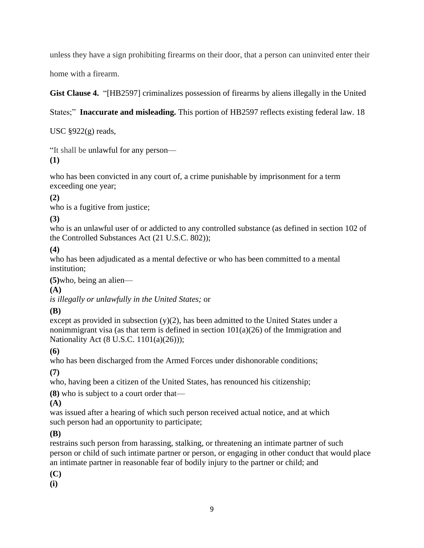unless they have a sign prohibiting firearms on their door, that a person can uninvited enter their

home with a firearm.

**Gist Clause 4.** "[HB2597] criminalizes possession of firearms by aliens illegally in the United

States;" **Inaccurate and misleading.** This portion of HB2597 reflects existing federal law. 18

USC  $\S 922(g)$  reads,

"It shall be unlawful for any [person—](https://www.law.cornell.edu/uscode/text/18/922) **(1)**

who has been convicted in any court of, a crime punishable by imprisonment for a term exceeding one year;

**(2)**

who is a [fugitive from justice;](https://www.law.cornell.edu/uscode/text/18/922)

**(3)**

who is an unlawful [user](https://www.law.cornell.edu/uscode/text/18/922) of or addicted to any controlled substance (as defined in section 102 of the [Controlled Substances Act](https://www.law.cornell.edu/topn/controlled_substances_act) [\(21 U.S.C. 802\)](https://www.law.cornell.edu/uscode/text/21/802));

**(4)**

who has been adjudicated as a mental defective or who has been committed to a mental institution;

**(5)**who, being an [alien—](https://www.law.cornell.edu/uscode/text/18/922)

**(A)**

*is illegally or unlawfully in the United [States;](https://www.law.cornell.edu/uscode/text/18/922)* or

**(B)**

except as provided in subsection  $(y)(2)$ , has been admitted to the United [States](https://www.law.cornell.edu/uscode/text/18/922) under a [nonimmigrant visa](https://www.law.cornell.edu/uscode/text/18/922) (as that term is defined in section  $101(a)(26)$  of the Immigration and [Nationality Act](https://www.law.cornell.edu/topn/immigration_and_nationality_act) [\(8 U.S.C. 1101\(a\)\(26\)\)](https://www.law.cornell.edu/uscode/text/8/1101#a_26));

**(6)**

who has been discharged from the Armed Forces under dishonorable conditions;

**(7)**

who, having been a citizen of the United [States,](https://www.law.cornell.edu/uscode/text/18/922) has renounced his citizenship;

**(8)** who is subject to a court order that—

**(A)**

was issued after a hearing of which such [person](https://www.law.cornell.edu/uscode/text/18/922) received actual notice, and at which such [person](https://www.law.cornell.edu/uscode/text/18/922) had an opportunity to participate;

**(B)**

restrains such [person](https://www.law.cornell.edu/uscode/text/18/922) from harassing, stalking, or threatening an [intimate partner](https://www.law.cornell.edu/uscode/text/18/922) of such [person](https://www.law.cornell.edu/uscode/text/18/922) or [child](https://www.law.cornell.edu/uscode/text/18/922) of such [intimate partner](https://www.law.cornell.edu/uscode/text/18/922) or [person,](https://www.law.cornell.edu/uscode/text/18/922) or engaging in other conduct that would place an [intimate partner](https://www.law.cornell.edu/uscode/text/18/922) in reasonable fear of [bodily injury](https://www.law.cornell.edu/uscode/text/18/922) to the partner or [child;](https://www.law.cornell.edu/uscode/text/18/922) and

**(C)**

**(i)**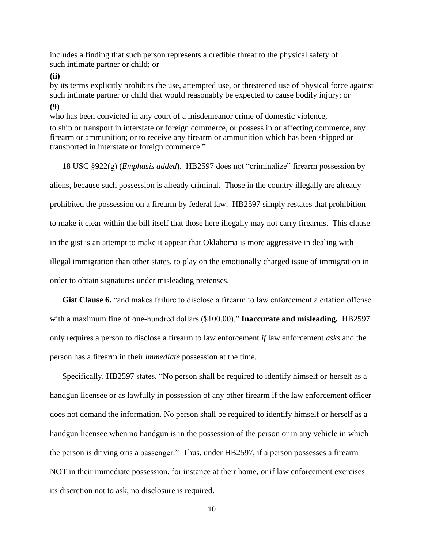includes a finding that such [person](https://www.law.cornell.edu/uscode/text/18/922) represents a credible threat to the physical safety of such [intimate partner](https://www.law.cornell.edu/uscode/text/18/922) or [child;](https://www.law.cornell.edu/uscode/text/18/922) or

**(ii)**

by its terms explicitly prohibits the use, attempted use, or threatened use of physical force against such [intimate partner](https://www.law.cornell.edu/uscode/text/18/922) or [child](https://www.law.cornell.edu/uscode/text/18/922) that would reasonably be expected to cause [bodily injury;](https://www.law.cornell.edu/uscode/text/18/922) or **(9)**

who has been convicted in any court of a [misdemeanor crime of domestic violence,](https://www.law.cornell.edu/uscode/text/18/922)

to ship or transport in [interstate or foreign commerce,](https://www.law.cornell.edu/uscode/text/18/922) or possess in or affecting commerce, any [firearm](https://www.law.cornell.edu/uscode/text/18/922) or [ammunition;](https://www.law.cornell.edu/uscode/text/18/922) or to receive any [firearm](https://www.law.cornell.edu/uscode/text/18/922) or [ammunition](https://www.law.cornell.edu/uscode/text/18/922) which has been shipped or transported in [interstate or foreign commerce.](https://www.law.cornell.edu/uscode/text/18/922)"

18 USC §922(g) (*Emphasis added*). HB2597 does not "criminalize" firearm possession by aliens, because such possession is already criminal. Those in the country illegally are already prohibited the possession on a firearm by federal law. HB2597 simply restates that prohibition to make it clear within the bill itself that those here illegally may not carry firearms. This clause in the gist is an attempt to make it appear that Oklahoma is more aggressive in dealing with illegal immigration than other states, to play on the emotionally charged issue of immigration in order to obtain signatures under misleading pretenses.

**Gist Clause 6.** "and makes failure to disclose a firearm to law enforcement a citation offense with a maximum fine of one-hundred dollars (\$100.00)." **Inaccurate and misleading.** HB2597 only requires a person to disclose a firearm to law enforcement *if* law enforcement *asks* and the person has a firearm in their *immediate* possession at the time.

Specifically, HB2597 states, "No person shall be required to identify himself or herself as a handgun licensee or as lawfully in possession of any other firearm if the law enforcement officer does not demand the information. No person shall be required to identify himself or herself as a handgun licensee when no handgun is in the possession of the person or in any vehicle in which the person is driving oris a passenger." Thus, under HB2597, if a person possesses a firearm NOT in their immediate possession, for instance at their home, or if law enforcement exercises its discretion not to ask, no disclosure is required.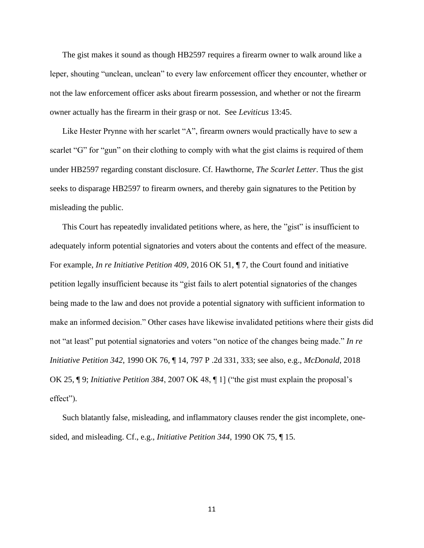The gist makes it sound as though HB2597 requires a firearm owner to walk around like a leper, shouting "unclean, unclean" to every law enforcement officer they encounter, whether or not the law enforcement officer asks about firearm possession, and whether or not the firearm owner actually has the firearm in their grasp or not. See *Leviticus* 13:45.

Like Hester Prynne with her scarlet "A", firearm owners would practically have to sew a scarlet "G" for "gun" on their clothing to comply with what the gist claims is required of them under HB2597 regarding constant disclosure. Cf. Hawthorne, *The Scarlet Letter*. Thus the gist seeks to disparage HB2597 to firearm owners, and thereby gain signatures to the Petition by misleading the public.

This Court has repeatedly invalidated petitions where, as here, the "gist" is insufficient to adequately inform potential signatories and voters about the contents and effect of the measure. For example, *In re Initiative Petition 409*, 2016 OK 51, ¶ 7, the Court found and initiative petition legally insufficient because its "gist fails to alert potential signatories of the changes being made to the law and does not provide a potential signatory with sufficient information to make an informed decision." Other cases have likewise invalidated petitions where their gists did not "at least" put potential signatories and voters "on notice of the changes being made." *In re Initiative Petition 342*, 1990 OK 76, ¶ 14, 797 P .2d 331, 333; see also, e.g., *McDonald*, 2018 OK 25, ¶ 9; *Initiative Petition 384*, 2007 OK 48, ¶ 1] ("the gist must explain the proposal's effect").

Such blatantly false, misleading, and inflammatory clauses render the gist incomplete, onesided, and misleading. Cf., e.g., *Initiative Petition 344*, 1990 OK 75, ¶ 15.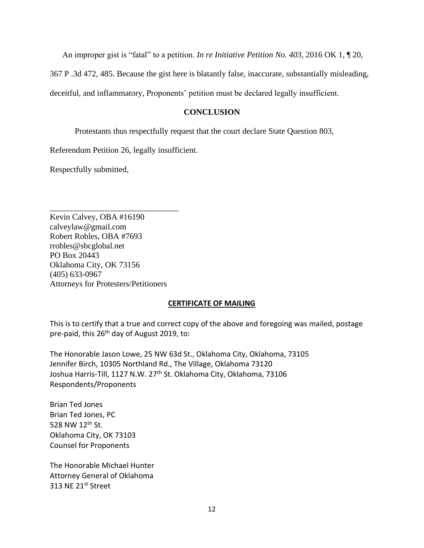An improper gist is "fatal" to a petition. *In re Initiative Petition No. 403*, 2016 OK 1, ¶ 20,

367 P .3d 472, 485. Because the gist here is blatantly false, inaccurate, substantially misleading,

deceitful, and inflammatory, Proponents' petition must be declared legally insufficient.

### **CONCLUSION**

Protestants thus respectfully request that the court declare State Question 803,

Referendum Petition 26, legally insufficient.

Respectfully submitted,

Kevin Calvey, OBA #16190 calveylaw@gmail.com Robert Robles, OBA #7693 rrobles@sbcglobal.net PO Box 20443 Oklahoma City, OK 73156 (405) 633-0967 Attorneys for Protesters/Petitioners

\_\_\_\_\_\_\_\_\_\_\_\_\_\_\_\_\_\_\_\_\_\_\_\_\_\_\_\_\_\_\_

### **CERTIFICATE OF MAILING**

This is to certify that a true and correct copy of the above and foregoing was mailed, postage pre-paid, this 26<sup>th</sup> day of August 2019, to:

The Honorable Jason Lowe, 25 NW 63d St., Oklahoma City, Oklahoma, 73105 Jennifer Birch, 10305 Northland Rd., The Village, Oklahoma 73120 Joshua Harris-Till, 1127 N.W. 27<sup>th</sup> St. Oklahoma City, Oklahoma, 73106 Respondents/Proponents

Brian Ted Jones Brian Ted Jones, PC 528 NW 12<sup>th</sup> St. Oklahoma City, OK 73103 Counsel for Proponents

The Honorable Michael Hunter Attorney General of Oklahoma 313 NE 21st Street